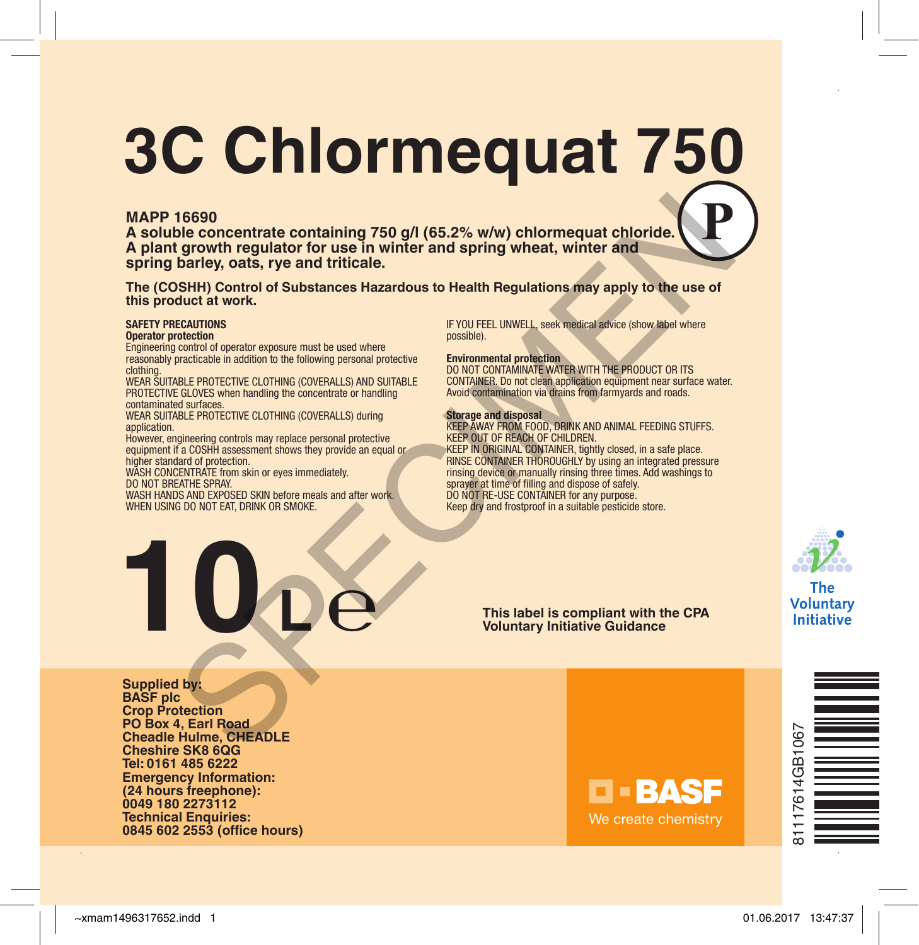# **3C Chlormequat 750**

#### **MAPP 16690**

**A soluble concentrate containing 750 g/l (65.2% w/w) chlormequat chloride. A plant growth regulator for use in winter and spring wheat, winter and spring barley, oats, rye and triticale.**

**The (COSHH) Control of Substances Hazardous to Health Regulations may apply to the use of this product at work.**

#### **SAFETY PRECAUTIONS**

#### **Operator protection**

Engineering control of operator exposure must be used where reasonably practicable in addition to the following personal protective clothing.

WEAR SUITABLE PROTECTIVE CLOTHING (COVERALLS) AND SUITABLE PROTECTIVE GLOVES when handling the concentrate or handling contaminated surfaces.

WEAR SUITABLE PROTECTIVE CLOTHING (COVERALLS) during application.

However, engineering controls may replace personal protective equipment if a COSHH assessment shows they provide an equal or higher standard of protection.

WASH CONCENTRATE from skin or eyes immediately. DO NOT BREATHE SPRAY.

 $10$ <sup>p</sup>e

WASH HANDS AND EXPOSED SKIN before meals and after work.

WHEN USING DO NOT EAT, DRINK OR SMOKE.

IF YOU FEEL UNWELL, seek medical advice (show label where possible).

#### **Environmental protection**

DO NOT CONTAMINATE WATER WITH THE PRODUCT OR ITS CONTAINER. Do not clean application equipment near surface water. Avoid contamination via drains from farmyards and roads.

#### **Storage and disposal**

KEEP AWAY FROM FOOD, DRINK AND ANIMAL FEEDING STUFFS. KEEP OUT OF REACH OF CHILDREN. KEEP IN ORIGINAL CONTAINER, tightly closed, in a safe place. RINSE CONTAINER THOROUGHLY by using an integrated pressure rinsing device or manually rinsing three times. Add washings to sprayer at time of filling and dispose of safely. DO NOT RE-USE CONTAINER for any purpose. Keep dry and frostproof in a suitable pesticide store. 16690<br>
September concentrate containing 750 g/l (65.2% w/w) chlormequat chloride.<br>
Le growth regulator for use in winter and spring wheat, winter and<br>
Learner and triticale.<br>
Expecting concentrate distances Hazardous to He



The Voluntary **Initiative** 

**This label is compliant with the CPA Voluntary Initiative Guidance**

**Supplied by: BASF plc Crop Protection PO Box 4, Earl Road Cheadle Hulme, CHEADLE Cheshire SK8 6QG Tel: 0161 485 6222 Emergency Information: (24 hours freephone): 0049 180 2273112 Technical Enquiries: 0845 602 2553 (office hours)**



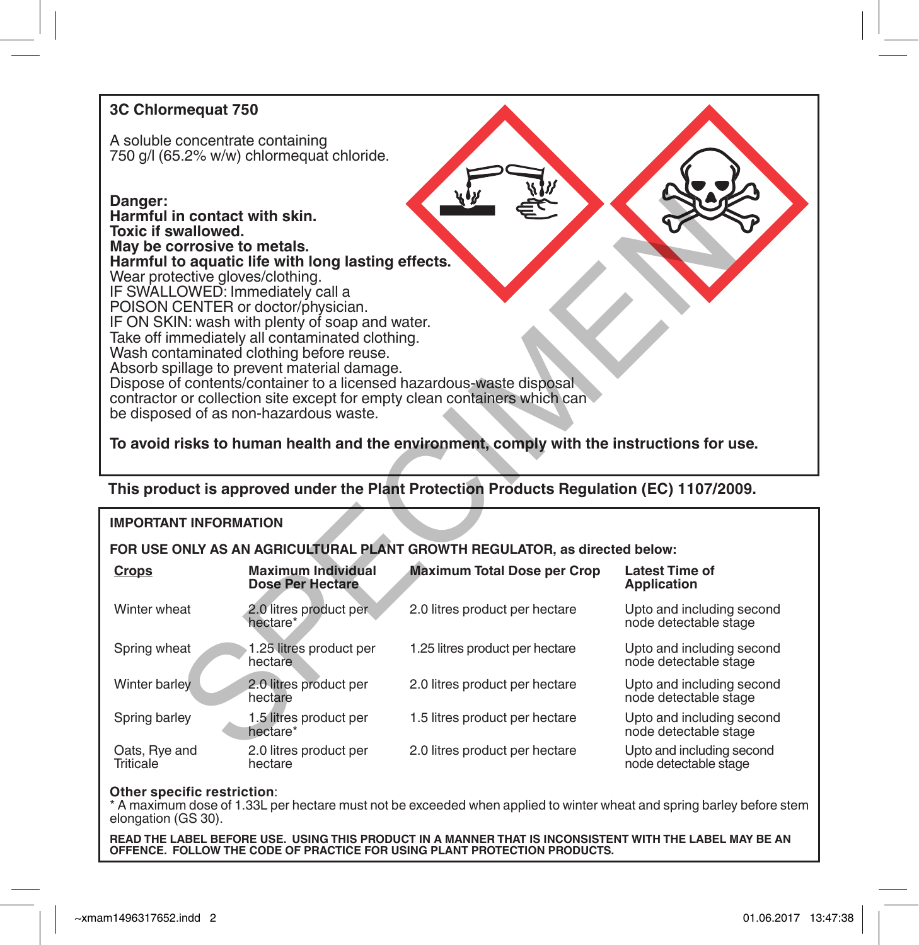### **3C Chlormequat 750**

A soluble concentrate containing 750 g/l (65.2% w/w) chlormequat chloride.

#### **Danger:**

**Harmful in contact with skin. Toxic if swallowed. May be corrosive to metals. Harmful to aquatic life with long lasting effects.** Wear protective gloves/clothing. IF SWALLOWED: Immediately call a POISON CENTER or doctor/physician. IF ON SKIN: wash with plenty of soap and water. Take off immediately all contaminated clothing. Wash contaminated clothing before reuse. Absorb spillage to prevent material damage. Dispose of contents/container to a licensed hazardous-waste disposal contractor or collection site except for empty clean containers which can be disposed of as non-hazardous waste. Manioved.<br>
Section galaxies if the twitch state of the control of the special interval of the section of the section of the section of the section of the section of the section of the section of the section of the section

#### **To avoid risks to human health and the environment, comply with the instructions for use.**

**This product is approved under the Plant Protection Products Regulation (EC) 1107/2009.**

#### **IMPORTANT INFORMATION**

#### **FOR USE ONLY AS AN AGRICULTURAL PLANT GROWTH REGULATOR, as directed below:**

| Crops                             | <b>Maximum Individual</b><br><b>Dose Per Hectare</b> | <b>Maximum Total Dose per Crop</b> | <b>Latest Time of</b><br><b>Application</b>        |
|-----------------------------------|------------------------------------------------------|------------------------------------|----------------------------------------------------|
| Winter wheat                      | 2.0 litres product per<br>hectare*                   | 2.0 litres product per hectare     | Upto and including second<br>node detectable stage |
| Spring wheat                      | 1.25 litres product per<br>hectare                   | 1.25 litres product per hectare    | Upto and including second<br>node detectable stage |
| Winter barley                     | 2.0 litres product per<br>hectare                    | 2.0 litres product per hectare     | Upto and including second<br>node detectable stage |
| Spring barley                     | 1.5 litres product per<br>hectare*                   | 1.5 litres product per hectare     | Upto and including second<br>node detectable stage |
| Oats, Rye and<br><b>Triticale</b> | 2.0 litres product per<br>hectare                    | 2.0 litres product per hectare     | Upto and including second<br>node detectable stage |

**Other specific restriction**:<br>\* A maximum dose of 1.33L per hectare must not be exceeded when applied to winter wheat and spring barley before stem elongation (GS 30).

**READ THE LABEL BEFORE USE. USING THIS PRODUCT IN A MANNER THAT IS INCONSISTENT WITH THE LABEL MAY BE AN OFFENCE. FOLLOW THE CODE OF PRACTICE FOR USING PLANT PROTECTION PRODUCTS.**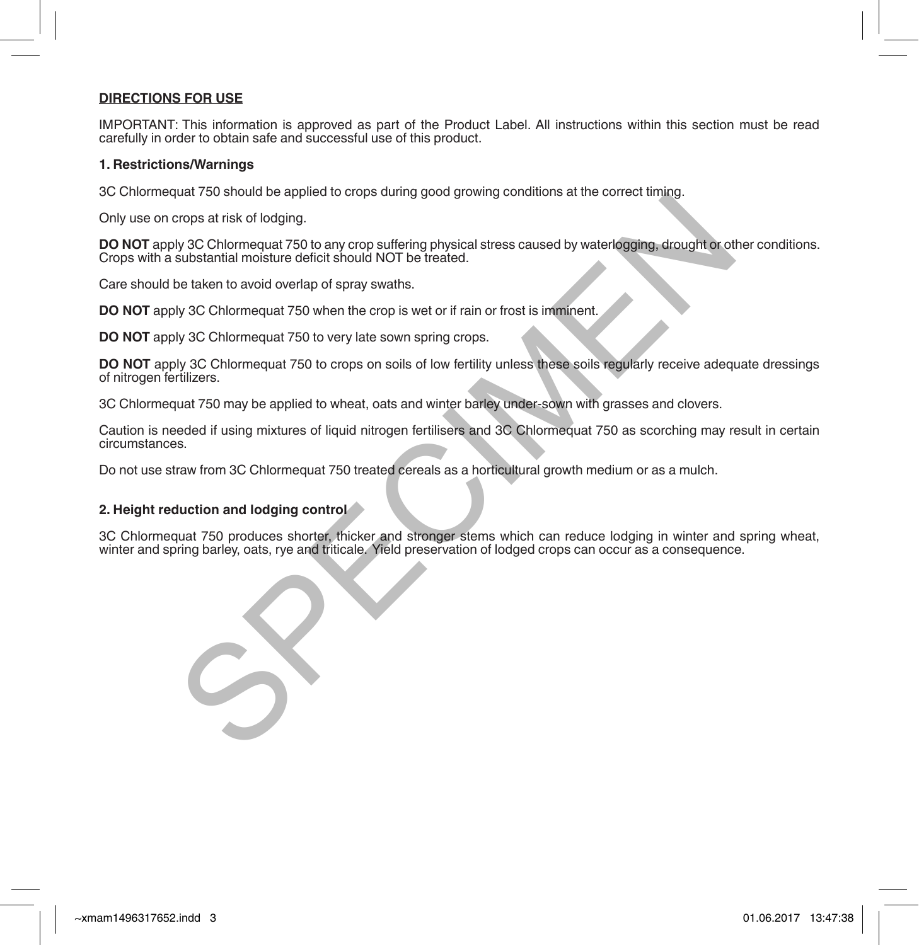#### **DIRECTIONS FOR USE**

IMPORTANT: This information is approved as part of the Product Label. All instructions within this section must be read carefully in order to obtain safe and successful use of this product.

#### **1. Restrictions/Warnings**

3C Chlormequat 750 should be applied to crops during good growing conditions at the correct timing.

Only use on crops at risk of lodging.

**DO NOT** apply 3C Chlormequat 750 to any crop suffering physical stress caused by waterlogging, drought or other conditions. Crops with a substantial moisture deficit should NOT be treated.

Care should be taken to avoid overlap of spray swaths.

**DO NOT** apply 3C Chlormequat 750 when the crop is wet or if rain or frost is imminent.

**DO NOT** apply 3C Chlormequat 750 to very late sown spring crops.

**DO NOT** apply 3C Chlormequat 750 to crops on soils of low fertility unless these soils regularly receive adequate dressings of nitrogen fertilizers. that rootshoutdoe applied to when the physical stress caused by waterlogging, drought or others an is the of lodging.<br>Specifical moisture deficit should NOT be treated.<br>Substantial moisture deficit should NOT be treated.<br>S

3C Chlormequat 750 may be applied to wheat, oats and winter barley under-sown with grasses and clovers.

Caution is needed if using mixtures of liquid nitrogen fertilisers and 3C Chlormequat 750 as scorching may result in certain circumstances.

Do not use straw from 3C Chlormequat 750 treated cereals as a horticultural growth medium or as a mulch.

#### **2. Height reduction and lodging control**

3C Chlormequat 750 produces shorter, thicker and stronger stems which can reduce lodging in winter and spring wheat, winter and spring barley, oats, rye and triticale. Yield preservation of lodged crops can occur as a consequence.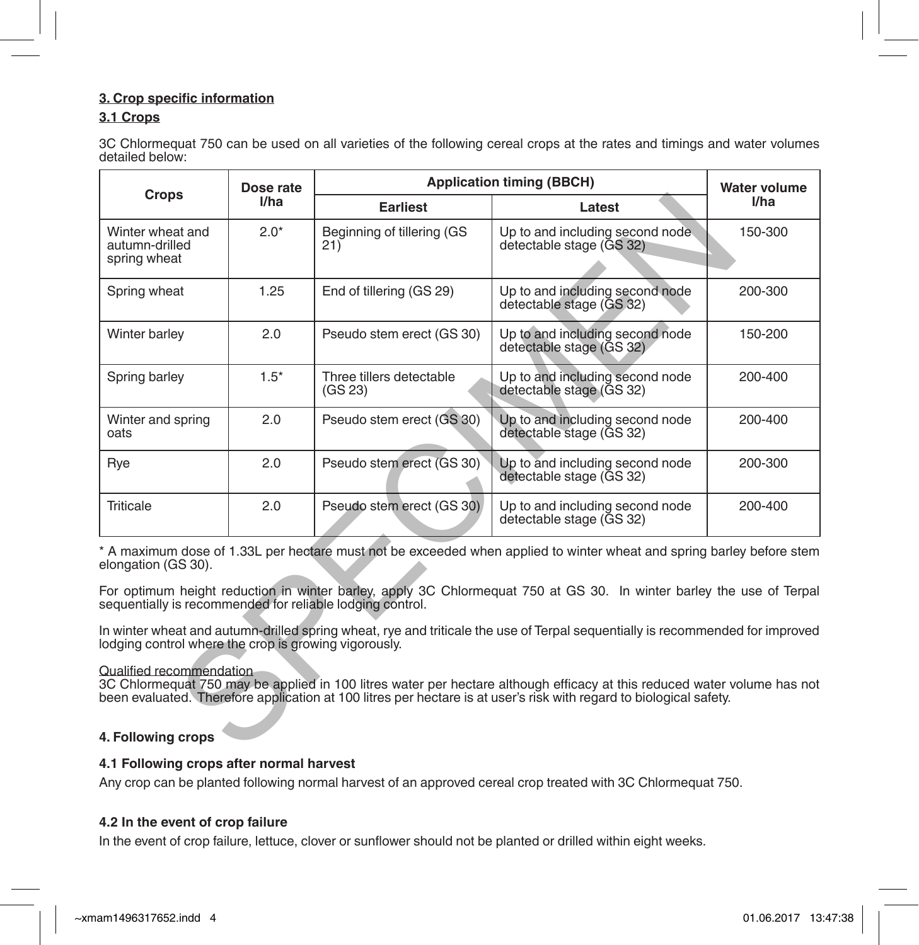#### **3. Crop specific information**

#### **3.1 Crops**

3C Chlormequat 750 can be used on all varieties of the following cereal crops at the rates and timings and water volumes detailed below:

| Crops                                                                                                                                                                                                                                                                       | Dose rate<br>I/ha | <b>Application timing (BBCH)</b>    |                                                              | <b>Water volume</b> |  |  |
|-----------------------------------------------------------------------------------------------------------------------------------------------------------------------------------------------------------------------------------------------------------------------------|-------------------|-------------------------------------|--------------------------------------------------------------|---------------------|--|--|
|                                                                                                                                                                                                                                                                             |                   | <b>Earliest</b>                     | Latest                                                       | I/ha                |  |  |
| Winter wheat and<br>autumn-drilled<br>spring wheat                                                                                                                                                                                                                          | $2.0*$            | Beginning of tillering (GS<br>21)   | Up to and including second node.<br>detectable stage (GS 32) | 150-300             |  |  |
| Spring wheat                                                                                                                                                                                                                                                                | 1.25              | End of tillering (GS 29)            | Up to and including second node<br>detectable stage (GS 32)  | 200-300             |  |  |
| Winter barley                                                                                                                                                                                                                                                               | 2.0               | Pseudo stem erect (GS 30)           | Up to and including second node<br>detectable stage (GS 32)  | 150-200             |  |  |
| Spring barley                                                                                                                                                                                                                                                               | $1.5*$            | Three tillers detectable<br>(GS 23) | Up to and including second node<br>detectable stage (GS 32)  | 200-400             |  |  |
| Winter and spring<br>oats                                                                                                                                                                                                                                                   | 2.0               | Pseudo stem erect (GS 30)           | Up to and including second node<br>detectable stage (GS 32)  | 200-400             |  |  |
| Rye                                                                                                                                                                                                                                                                         | 2.0               | Pseudo stem erect (GS 30)           | Up to and including second node<br>detectable stage (GS 32)  | 200-300             |  |  |
| <b>Triticale</b>                                                                                                                                                                                                                                                            | 2.0               | Pseudo stem erect (GS 30)           | Up to and including second node<br>detectable stage (GS 32)  | 200-400             |  |  |
| * A maximum dose of 1.33L per hectare must not be exceeded when applied to winter wheat and spring barley before stem<br>elongation (GS 30).                                                                                                                                |                   |                                     |                                                              |                     |  |  |
| For optimum height reduction in winter barley, apply 3C Chlormequat 750 at GS 30. In winter barley the use of Terpal<br>sequentially is recommended for reliable lodging control.                                                                                           |                   |                                     |                                                              |                     |  |  |
| In winter wheat and autumn-drilled spring wheat, rye and triticale the use of Terpal sequentially is recommended for improved<br>lodging control where the crop is growing vigorously.                                                                                      |                   |                                     |                                                              |                     |  |  |
| Qualified recommendation<br>3C Chlormequat 750 may be applied in 100 litres water per hectare although efficacy at this reduced water volume has not<br>been evaluated. Therefore application at 100 litres per hectare is at user's risk with regard to biological safety. |                   |                                     |                                                              |                     |  |  |
| 4. Following crops                                                                                                                                                                                                                                                          |                   |                                     |                                                              |                     |  |  |

#### Qualified recommendation

#### **4. Following crops**

#### **4.1 Following crops after normal harvest**

Any crop can be planted following normal harvest of an approved cereal crop treated with 3C Chlormequat 750.

#### **4.2 In the event of crop failure**

In the event of crop failure, lettuce, clover or sunflower should not be planted or drilled within eight weeks.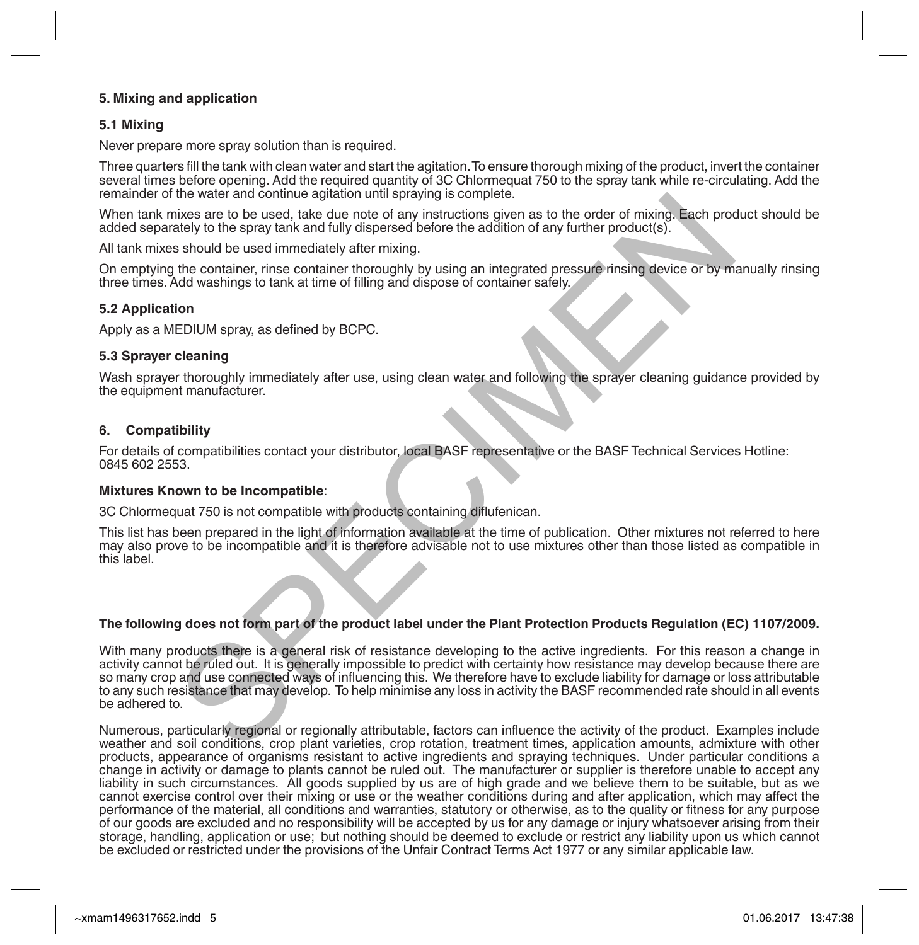#### **5. Mixing and application**

#### **5.1 Mixing**

Never prepare more spray solution than is required.

Three quarters fill the tank with clean water and start the agitation. To ensure thorough mixing of the product, invert the container several times before opening. Add the required quantity of 3C Chlormequat 750 to the spray tank while re-circulating. Add the remainder of the water and continue agitation until spraying is complete.

When tank mixes are to be used, take due note of any instructions given as to the order of mixing. Each product should be added separately to the spray tank and fully dispersed before the addition of any further product(s).

All tank mixes should be used immediately after mixing.

On emptying the container, rinse container thoroughly by using an integrated pressure rinsing device or by manually rinsing three times. Add washings to tank at time of filling and dispose of container safely.

#### **5.2 Application**

Apply as a MEDIUM spray, as defined by BCPC.

#### **5.3 Sprayer cleaning**

Wash sprayer thoroughly immediately after use, using clean water and following the sprayer cleaning guidance provided by the equipment manufacturer.

#### **6. Compatibility**

For details of compatibilities contact your distributor, local BASF representative or the BASF Technical Services Hotline: 0845 602 2553.

#### **Mixtures Known to be Incompatible**:

3C Chlormequat 750 is not compatible with products containing diflufenican.

This list has been prepared in the light of information available at the time of publication. Other mixtures not referred to here may also prove to be incompatible and it is therefore advisable not to use mixtures other than those listed as compatible in this label.

#### **The following does not form part of the product label under the Plant Protection Products Regulation (EC) 1107/2009.**

With many products there is a general risk of resistance developing to the active ingredients. For this reason a change in activity cannot be ruled out. It is generally impossible to predict with certainty how resistance may develop because there are so many crop and use connected ways of influencing this. We therefore have to exclude liability for damage or loss attributable to any such resistance that may develop. To help minimise any loss in activity the BASF recommended rate should in all events be adhered to. the water and continue agression funal specifying is complete.<br>This was are to be used, take due note of any instructions given as to the order of mixing. Each procedure at<br>takely to the spray tank and fully dispersed befo

Numerous, particularly regional or regionally attributable, factors can influence the activity of the product. Examples include weather and soil conditions, crop plant varieties, crop rotation, treatment times, application amounts, admixture with other products, appearance of organisms resistant to active ingredients and spraying techniques. Under particular conditions a change in activity or damage to plants cannot be ruled out. The manufacturer or supplier is therefore unable to accept any liability in such circumstances. All goods supplied by us are of high grade and we believe them to be suitable, but as we cannot exercise control over their mixing or use or the weather conditions during and after application, which may affect the performance of the material, all conditions and warranties, statutory or otherwise, as to the quality or fitness for any purpose of our goods are excluded and no responsibility will be accepted by us for any damage or injury whatsoever arising from their storage, handling, application or use; but nothing should be deemed to exclude or restrict any liability upon us which cannot be excluded or restricted under the provisions of the Unfair Contract Terms Act 1977 or any similar applicable law.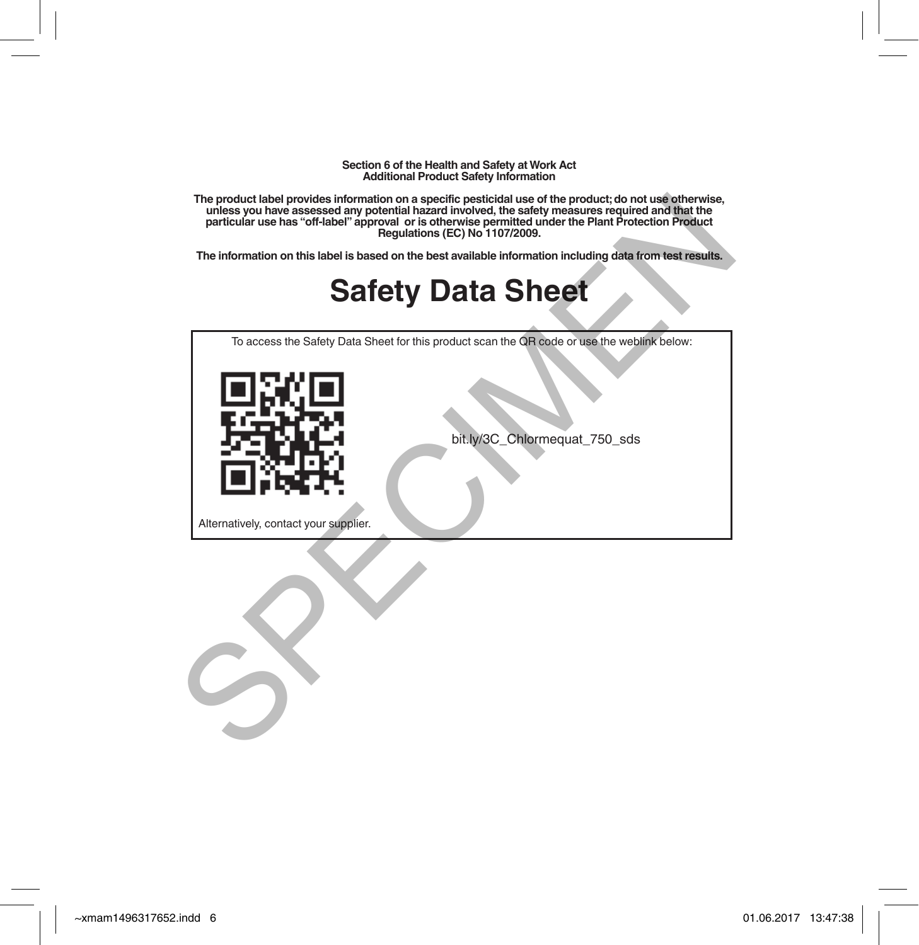**Section 6 of the Health and Safety at Work Act Additional Product Safety Information** 

**The product label provides information on a specific pesticidal use of the product; do not use otherwise, unless you have assessed any potential hazard involved, the safety measures required and that the particular use has "off-label" approval or is otherwise permitted under the Plant Protection Product Regulations (EC) No 1107/2009.** The product label brownted on a specific settle persiste and the product at once the product and the theorem in<br>the synthesis settle and the persiste of a straighted and the set of the set of the settlement on this size of

**The information on this label is based on the best available information including data from test results.**

### **Safety Data Sheet**

To access the Safety Data Sheet for this product scan the QR code or use the weblink below:



bit.ly/3C\_Chlormequat\_750\_sds

Alternatively, contact your supplier.